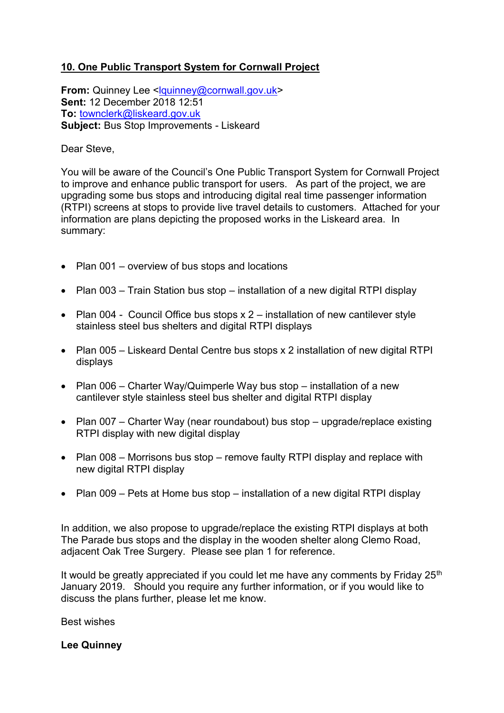## **10. One Public Transport System for Cornwall Project**

**From:** Quinney Lee [<lquinney@cornwall.gov.uk>](mailto:lquinney@cornwall.gov.uk) **Sent:** 12 December 2018 12:51 **To:** [townclerk@liskeard.gov.uk](mailto:townclerk@liskeard.gov.uk) **Subject:** Bus Stop Improvements - Liskeard

## Dear Steve,

You will be aware of the Council's One Public Transport System for Cornwall Project to improve and enhance public transport for users. As part of the project, we are upgrading some bus stops and introducing digital real time passenger information (RTPI) screens at stops to provide live travel details to customers. Attached for your information are plans depicting the proposed works in the Liskeard area. In summary:

- Plan 001 overview of bus stops and locations
- Plan 003 Train Station bus stop installation of a new digital RTPI display
- Plan 004 Council Office bus stops x 2 installation of new cantilever style stainless steel bus shelters and digital RTPI displays
- Plan 005 Liskeard Dental Centre bus stops x 2 installation of new digital RTPI displays
- Plan 006 Charter Way/Quimperle Way bus stop installation of a new cantilever style stainless steel bus shelter and digital RTPI display
- Plan 007 Charter Way (near roundabout) bus stop upgrade/replace existing RTPI display with new digital display
- Plan 008 Morrisons bus stop remove faulty RTPI display and replace with new digital RTPI display
- Plan 009 Pets at Home bus stop installation of a new digital RTPI display

In addition, we also propose to upgrade/replace the existing RTPI displays at both The Parade bus stops and the display in the wooden shelter along Clemo Road, adjacent Oak Tree Surgery. Please see plan 1 for reference.

It would be greatly appreciated if you could let me have any comments by Friday  $25<sup>th</sup>$ January 2019. Should you require any further information, or if you would like to discuss the plans further, please let me know.

Best wishes

## **Lee Quinney**